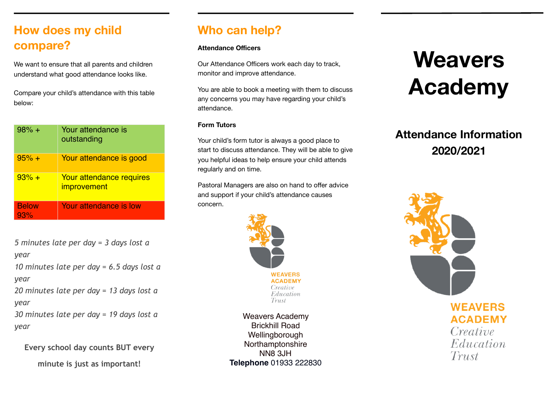### **How does my child compare?**

We want to ensure that all parents and children understand what good attendance looks like.

Compare your child's attendance with this table below:

| $98% +$             | Your attendance is<br>outstanding              |
|---------------------|------------------------------------------------|
| $95% +$             | Your attendance is good                        |
| $93% +$             | Your attendance requires<br><i>improvement</i> |
| <b>Below</b><br>93% | Your attendance is low                         |

*5 minutes late per day = 3 days lost a* 

#### *year*

*10 minutes late per day = 6.5 days lost a year*

*20 minutes late per day = 13 days lost a* 

#### *year*

*30 minutes late per day = 19 days lost a year*

**Every school day counts BUT every** 

**minute is just as important!**

## **Who can help?**

#### **Attendance Officers**

Our Attendance Officers work each day to track, monitor and improve attendance.

You are able to book a meeting with them to discuss any concerns you may have regarding your child's attendance.

#### **Form Tutors**

Your child's form tutor is always a good place to start to discuss attendance. They will be able to give you helpful ideas to help ensure your child attends regularly and on time.

Pastoral Managers are also on hand to offer advice and support if your child's attendance causes concern.



Weavers Academy Brickhill Road Wellingborough Northamptonshire NN8 3JH **Telephone** 01933 222830

# **Weavers Academy**

## **Attendance Information 2020/2021**